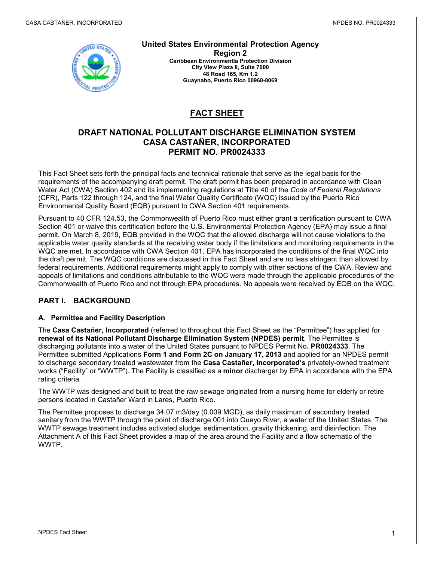

**United States Environmental Protection Agency Region 2 Caribbean Environmentla Protection Division City View Plaza II, Suite 7000**

**48 Road 165, Km 1.2 Guaynabo, Puerto Rico 00968-8069**

# **FACT SHEET**

## **DRAFT NATIONAL POLLUTANT DISCHARGE ELIMINATION SYSTEM CASA CASTAÑER, INCORPORATED PERMIT NO. PR0024333**

This Fact Sheet sets forth the principal facts and technical rationale that serve as the legal basis for the requirements of the accompanying draft permit. The draft permit has been prepared in accordance with Clean Water Act (CWA) Section 402 and its implementing regulations at Title 40 of the *Code of Federal Regulations* (CFR), Parts 122 through 124, and the final Water Quality Certificate (WQC) issued by the Puerto Rico Environmental Quality Board (EQB) pursuant to CWA Section 401 requirements.

Pursuant to 40 CFR 124.53, the Commonwealth of Puerto Rico must either grant a certification pursuant to CWA Section 401 or waive this certification before the U.S. Environmental Protection Agency (EPA) may issue a final permit. On March 8, 2019, EQB provided in the WQC that the allowed discharge will not cause violations to the applicable water quality standards at the receiving water body if the limitations and monitoring requirements in the WQC are met. In accordance with CWA Section 401, EPA has incorporated the conditions of the final WQC into the draft permit. The WQC conditions are discussed in this Fact Sheet and are no less stringent than allowed by federal requirements. Additional requirements might apply to comply with other sections of the CWA. Review and appeals of limitations and conditions attributable to the WQC were made through the applicable procedures of the Commonwealth of Puerto Rico and not through EPA procedures. No appeals were received by EQB on the WQC.

## **PART I. BACKGROUND**

## **A. Permittee and Facility Description**

The **Casa Castañer, Incorporated** (referred to throughout this Fact Sheet as the "Permittee") has applied for **renewal of its National Pollutant Discharge Elimination System (NPDES) permit**. The Permittee is discharging pollutants into a water of the United States pursuant to NPDES Permit No**. PR0024333**. The Permittee submitted Applications **Form 1 and Form 2C on January 17, 2013** and applied for an NPDES permit to discharge secondary treated wastewater from the **Casa Castañer, Incorporated's** privately-owned treatment works ("Facility" or "WWTP"). The Facility is classified as a **minor** discharger by EPA in accordance with the EPA rating criteria.

The WWTP was designed and built to treat the raw sewage originated from a nursing home for elderly or retire persons located in Castañer Ward in Lares, Puerto Rico.

The Permittee proposes to discharge 34.07 m3/day (0.009 MGD), as daily maximum of secondary treated sanitary from the WWTP through the point of discharge 001 into Guayo River, a water of the United States. The WWTP sewage treatment includes activated sludge, sedimentation, gravity thickening, and disinfection. The Attachment A of this Fact Sheet provides a map of the area around the Facility and a flow schematic of the WWTP.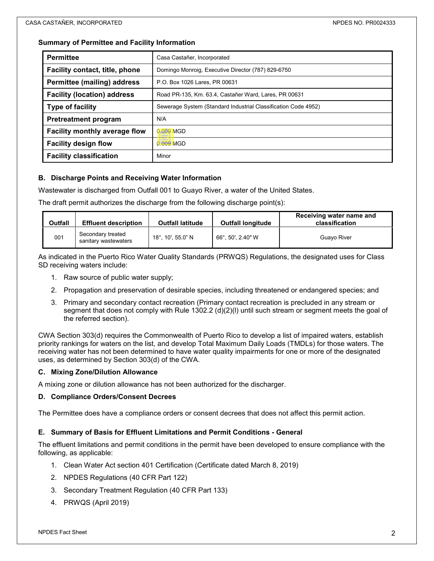### **Summary of Permittee and Facility Information**

| <b>Permittee</b>                     | Casa Castañer, Incorporated                                    |  |  |
|--------------------------------------|----------------------------------------------------------------|--|--|
| Facility contact, title, phone       | Domingo Monroig, Executive Director (787) 829-6750             |  |  |
| <b>Permittee (mailing) address</b>   | P.O. Box 1026 Lares, PR 00631                                  |  |  |
| <b>Facility (location) address</b>   | Road PR-135, Km. 63.4, Castañer Ward, Lares, PR 00631          |  |  |
| <b>Type of facility</b>              | Sewerage System (Standard Industrial Classification Code 4952) |  |  |
| <b>Pretreatment program</b>          | N/A                                                            |  |  |
| <b>Facility monthly average flow</b> | 0.009 MGD                                                      |  |  |
| <b>Facility design flow</b>          | 0.009 MGD                                                      |  |  |
| <b>Facility classification</b>       | Minor                                                          |  |  |

### **B. Discharge Points and Receiving Water Information**

Wastewater is discharged from Outfall 001 to Guayo River, a water of the United States.

The draft permit authorizes the discharge from the following discharge point(s):

| <b>Outfall</b> | <b>Effluent description</b>               | <b>Outfall latitude</b> | <b>Outfall longitude</b> | Receiving water name and<br>classification |
|----------------|-------------------------------------------|-------------------------|--------------------------|--------------------------------------------|
| 001            | Secondary treated<br>sanitary wastewaters | 18° 10' 55.0" N         | 66°, 50', 2.40" W        | Guavo River                                |

As indicated in the Puerto Rico Water Quality Standards (PRWQS) Regulations, the designated uses for Class SD receiving waters include:

- 1. Raw source of public water supply;
- 2. Propagation and preservation of desirable species, including threatened or endangered species; and
- 3. Primary and secondary contact recreation (Primary contact recreation is precluded in any stream or segment that does not comply with Rule 1302.2 (d)(2)(l) until such stream or segment meets the goal of the referred section).

CWA Section 303(d) requires the Commonwealth of Puerto Rico to develop a list of impaired waters, establish priority rankings for waters on the list, and develop Total Maximum Daily Loads (TMDLs) for those waters. The receiving water has not been determined to have water quality impairments for one or more of the designated uses, as determined by Section 303(d) of the CWA.

### **C. Mixing Zone/Dilution Allowance**

A mixing zone or dilution allowance has not been authorized for the discharger.

#### **D. Compliance Orders/Consent Decrees**

The Permittee does have a compliance orders or consent decrees that does not affect this permit action.

### **E. Summary of Basis for Effluent Limitations and Permit Conditions - General**

The effluent limitations and permit conditions in the permit have been developed to ensure compliance with the following, as applicable:

- 1. Clean Water Act section 401 Certification (Certificate dated March 8, 2019)
- 2. NPDES Regulations (40 CFR Part 122)
- 3. Secondary Treatment Regulation (40 CFR Part 133)
- 4. PRWQS (April 2019)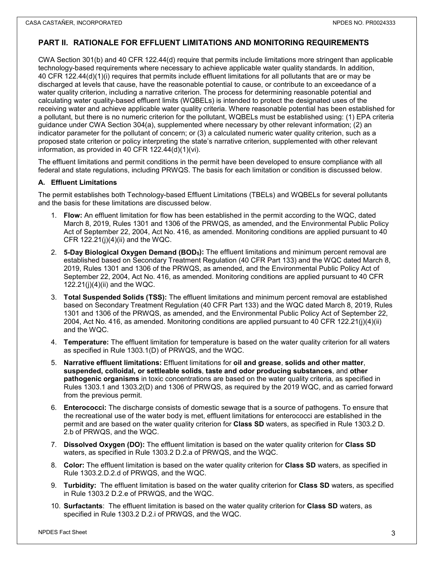## **PART II. RATIONALE FOR EFFLUENT LIMITATIONS AND MONITORING REQUIREMENTS**

CWA Section 301(b) and 40 CFR 122.44(d) require that permits include limitations more stringent than applicable technology-based requirements where necessary to achieve applicable water quality standards. In addition, 40 CFR 122.44(d)(1)(i) requires that permits include effluent limitations for all pollutants that are or may be discharged at levels that cause, have the reasonable potential to cause, or contribute to an exceedance of a water quality criterion, including a narrative criterion. The process for determining reasonable potential and calculating water quality-based effluent limits (WQBELs) is intended to protect the designated uses of the receiving water and achieve applicable water quality criteria. Where reasonable potential has been established for a pollutant, but there is no numeric criterion for the pollutant, WQBELs must be established using: (1) EPA criteria guidance under CWA Section 304(a), supplemented where necessary by other relevant information; (2) an indicator parameter for the pollutant of concern; or (3) a calculated numeric water quality criterion, such as a proposed state criterion or policy interpreting the state's narrative criterion, supplemented with other relevant information, as provided in 40 CFR 122.44(d)(1)(vi).

The effluent limitations and permit conditions in the permit have been developed to ensure compliance with all federal and state regulations, including PRWQS. The basis for each limitation or condition is discussed below.

### **A. Effluent Limitations**

The permit establishes both Technology-based Effluent Limitations (TBELs) and WQBELs for several pollutants and the basis for these limitations are discussed below.

- 1. **Flow:** An effluent limitation for flow has been established in the permit according to the WQC, dated March 8, 2019, Rules 1301 and 1306 of the PRWQS, as amended, and the Environmental Public Policy Act of September 22, 2004, Act No. 416, as amended. Monitoring conditions are applied pursuant to 40 CFR  $122.21(i)(4)(ii)$  and the WQC.
- 2. **5-Day Biological Oxygen Demand (BOD5):** The effluent limitations and minimum percent removal are established based on Secondary Treatment Regulation (40 CFR Part 133) and the WQC dated March 8, 2019, Rules 1301 and 1306 of the PRWQS, as amended, and the Environmental Public Policy Act of September 22, 2004, Act No. 416, as amended. Monitoring conditions are applied pursuant to 40 CFR 122.21(j) $(4)$ (ii) and the WQC.
- 3. **Total Suspended Solids (TSS):** The effluent limitations and minimum percent removal are established based on Secondary Treatment Regulation (40 CFR Part 133) and the WQC dated March 8, 2019, Rules 1301 and 1306 of the PRWQS, as amended, and the Environmental Public Policy Act of September 22, 2004, Act No. 416, as amended. Monitoring conditions are applied pursuant to 40 CFR 122.21(j)(4)(ii) and the WQC.
- 4. **Temperature:** The effluent limitation for temperature is based on the water quality criterion for all waters as specified in Rule 1303.1(D) of PRWQS, and the WQC.
- 5. **Narrative effluent limitations:** Effluent limitations for **oil and grease**, **solids and other matter**, **suspended, colloidal, or settleable solids**, **taste and odor producing substances**, and **other pathogenic organisms** in toxic concentrations are based on the water quality criteria, as specified in Rules 1303.1 and 1303.2(D) and 1306 of PRWQS, as required by the 2019 WQC, and as carried forward from the previous permit.
- 6. **Enterococci:** The discharge consists of domestic sewage that is a source of pathogens. To ensure that the recreational use of the water body is met, effluent limitations for enterococci are established in the permit and are based on the water quality criterion for **Class SD** waters, as specified in Rule 1303.2 D. 2.b of PRWQS, and the WQC.
- 7. **Dissolved Oxygen (DO):** The effluent limitation is based on the water quality criterion for **Class SD** waters, as specified in Rule 1303.2 D.2.a of PRWQS, and the WQC.
- 8. **Color:** The effluent limitation is based on the water quality criterion for **Class SD** waters, as specified in Rule 1303.2.D.2.d of PRWQS, and the WQC.
- 9. **Turbidity:** The effluent limitation is based on the water quality criterion for **Class SD** waters, as specified in Rule 1303.2 D.2.e of PRWQS, and the WQC.
- 10. **Surfactants**: The effluent limitation is based on the water quality criterion for **Class SD** waters, as specified in Rule 1303.2 D.2.i of PRWQS, and the WQC.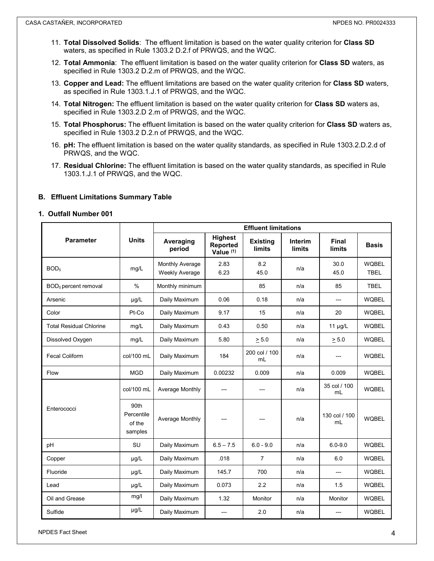- 11. **Total Dissolved Solids**: The effluent limitation is based on the water quality criterion for **Class SD** waters, as specified in Rule 1303.2 D.2.f of PRWQS, and the WQC.
- 12. **Total Ammonia**: The effluent limitation is based on the water quality criterion for **Class SD** waters, as specified in Rule 1303.2 D.2.m of PRWQS, and the WQC.
- 13. **Copper and Lead:** The effluent limitations are based on the water quality criterion for **Class SD** waters, as specified in Rule 1303.1.J.1 of PRWQS, and the WQC.
- 14. **Total Nitrogen:** The effluent limitation is based on the water quality criterion for **Class SD** waters as, specified in Rule 1303.2.D 2.m of PRWQS, and the WQC.
- 15. **Total Phosphorus:** The effluent limitation is based on the water quality criterion for **Class SD** waters as, specified in Rule 1303.2 D.2.n of PRWQS, and the WQC.
- 16. **pH:** The effluent limitation is based on the water quality standards, as specified in Rule 1303.2.D.2.d of PRWQS, and the WQC.
- 17. **Residual Chlorine:** The effluent limitation is based on the water quality standards, as specified in Rule 1303.1.J.1 of PRWQS, and the WQC.

### **B. Effluent Limitations Summary Table**

#### **1. Outfall Number 001**

|                                  | <b>Units</b>                            | <b>Effluent limitations</b>              |                                                |                                  |                          |                        |                             |  |
|----------------------------------|-----------------------------------------|------------------------------------------|------------------------------------------------|----------------------------------|--------------------------|------------------------|-----------------------------|--|
| <b>Parameter</b>                 |                                         | Averaging<br>period                      | <b>Highest</b><br><b>Reported</b><br>Value (1) | <b>Existing</b><br><b>limits</b> | Interim<br><b>limits</b> | Final<br><b>limits</b> | <b>Basis</b>                |  |
| BOD <sub>5</sub>                 | mg/L                                    | <b>Monthly Average</b><br>Weekly Average | 2.83<br>6.23                                   | 8.2<br>45.0                      | n/a                      | 30.0<br>45.0           | <b>WQBEL</b><br><b>TBEL</b> |  |
| BOD <sub>5</sub> percent removal | $\frac{0}{0}$                           | Monthly minimum                          |                                                | 85                               | n/a                      | 85                     | TBEL                        |  |
| Arsenic                          | $\mu$ g/L                               | Daily Maximum                            | 0.06                                           | 0.18                             | n/a                      | $\overline{a}$         | <b>WQBEL</b>                |  |
| Color                            | Pt-Co                                   | Daily Maximum                            | 9.17                                           | 15                               | n/a                      | 20                     | <b>WQBEL</b>                |  |
| <b>Total Residual Chlorine</b>   | mg/L                                    | Daily Maximum                            | 0.43                                           | 0.50                             | n/a                      | $11 \mu g/L$           | <b>WQBEL</b>                |  |
| Dissolved Oxygen                 | mg/L                                    | Daily Maximum                            | 5.80                                           | $\geq 5.0$                       | n/a                      | $\geq 5.0$             | <b>WQBEL</b>                |  |
| <b>Fecal Coliform</b>            | col/100 mL                              | Daily Maximum                            | 184                                            | 200 col / 100<br>mL              | n/a                      |                        | <b>WQBEL</b>                |  |
| Flow                             | <b>MGD</b>                              | Daily Maximum                            | 0.00232                                        | 0.009                            | n/a                      | 0.009                  | <b>WQBEL</b>                |  |
|                                  | col/100 mL                              | Average Monthly                          |                                                |                                  | n/a                      | 35 col / 100<br>mL     | <b>WQBEL</b>                |  |
| Enterococci                      | 90th<br>Percentile<br>of the<br>samples | Average Monthly                          |                                                |                                  | n/a                      | 130 col / 100<br>mL    | <b>WQBEL</b>                |  |
| pH                               | SU                                      | Daily Maximum                            | $6.5 - 7.5$                                    | $6.0 - 9.0$                      | n/a                      | $6.0 - 9.0$            | <b>WQBEL</b>                |  |
| Copper                           | µg/L                                    | Daily Maximum                            | .018                                           | $\overline{7}$                   | n/a                      | 6.0                    | <b>WQBEL</b>                |  |
| Fluoride                         | $\mu$ g/L                               | Daily Maximum                            | 145.7                                          | 700                              | n/a                      | $\overline{a}$         | <b>WQBEL</b>                |  |
| Lead                             | $\mu$ g/L                               | Daily Maximum                            | 0.073                                          | 2.2                              | n/a                      | 1.5                    | <b>WQBEL</b>                |  |
| Oil and Grease                   | mg/l                                    | Daily Maximum                            | 1.32                                           | Monitor                          | n/a                      | Monitor                | <b>WQBEL</b>                |  |
| Sulfide                          | $\mu g/L$                               | Daily Maximum                            | ---                                            | 2.0                              | n/a                      | $---$                  | <b>WQBEL</b>                |  |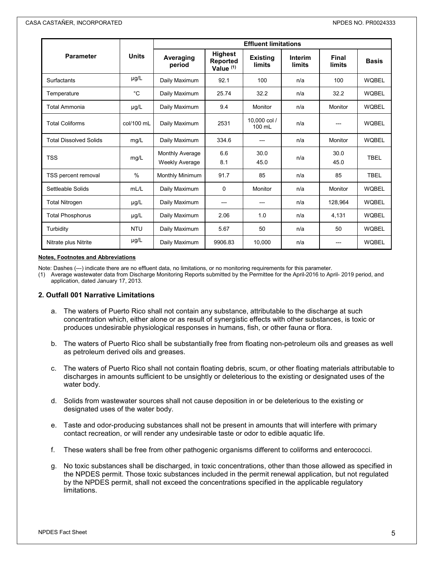|                               | <b>Units</b>  | <b>Effluent limitations</b>              |                                         |                                  |                          |                        |              |  |
|-------------------------------|---------------|------------------------------------------|-----------------------------------------|----------------------------------|--------------------------|------------------------|--------------|--|
| <b>Parameter</b>              |               | Averaging<br>period                      | <b>Highest</b><br>Reported<br>Value (1) | <b>Existing</b><br><b>limits</b> | Interim<br><b>limits</b> | Final<br><b>limits</b> | <b>Basis</b> |  |
| <b>Surfactants</b>            | µg/L          | Daily Maximum                            | 92.1                                    | 100                              | n/a                      | 100                    | <b>WQBEL</b> |  |
| Temperature                   | °C            | Daily Maximum                            | 25.74                                   | 32.2                             | n/a                      | 32.2                   | <b>WQBEL</b> |  |
| <b>Total Ammonia</b>          | $\mu$ g/L     | Daily Maximum                            | 9.4                                     | Monitor                          | n/a                      | Monitor                | <b>WQBEL</b> |  |
| <b>Total Coliforms</b>        | col/100 mL    | Daily Maximum                            | 2531                                    | 10.000 col /<br>100 mL           | n/a                      |                        | <b>WOBEL</b> |  |
| <b>Total Dissolved Solids</b> | mg/L          | Daily Maximum                            | 334.6                                   |                                  | n/a                      | Monitor                | <b>WQBEL</b> |  |
| <b>TSS</b>                    | mg/L          | Monthly Average<br><b>Weekly Average</b> | 6.6<br>8.1                              | 30.0<br>45.0                     | n/a                      | 30.0<br>45.0           | <b>TBEL</b>  |  |
| TSS percent removal           | $\frac{0}{0}$ | <b>Monthly Minimum</b>                   | 91.7                                    | 85                               | n/a                      | 85                     | <b>TBEL</b>  |  |
| Settleable Solids             | mL/L          | Daily Maximum                            | $\Omega$                                | Monitor                          | n/a                      | Monitor                | <b>WQBEL</b> |  |
| <b>Total Nitrogen</b>         | $\mu$ g/L     | Daily Maximum                            | ---                                     | ---                              | n/a                      | 128,964                | <b>WQBEL</b> |  |
| <b>Total Phosphorus</b>       | µg/L          | Daily Maximum                            | 2.06                                    | 1.0                              | n/a                      | 4,131                  | <b>WQBEL</b> |  |
| Turbidity                     | <b>NTU</b>    | Daily Maximum                            | 5.67                                    | 50                               | n/a                      | 50                     | <b>WQBEL</b> |  |
| Nitrate plus Nitrite          | $\mu$ g/L     | Daily Maximum                            | 9906.83                                 | 10.000                           | n/a                      |                        | <b>WQBEL</b> |  |

#### **Notes, Footnotes and Abbreviations**

Note: Dashes (---) indicate there are no effluent data, no limitations, or no monitoring requirements for this parameter.

(1) Average wastewater data from Discharge Monitoring Reports submitted by the Permittee for the April-2016 to April- 2019 period, and application, dated January 17, 2013.

#### **2. Outfall 001 Narrative Limitations**

- a. The waters of Puerto Rico shall not contain any substance, attributable to the discharge at such concentration which, either alone or as result of synergistic effects with other substances, is toxic or produces undesirable physiological responses in humans, fish, or other fauna or flora.
- b. The waters of Puerto Rico shall be substantially free from floating non-petroleum oils and greases as well as petroleum derived oils and greases.
- c. The waters of Puerto Rico shall not contain floating debris, scum, or other floating materials attributable to discharges in amounts sufficient to be unsightly or deleterious to the existing or designated uses of the water body.
- d. Solids from wastewater sources shall not cause deposition in or be deleterious to the existing or designated uses of the water body.
- e. Taste and odor-producing substances shall not be present in amounts that will interfere with primary contact recreation, or will render any undesirable taste or odor to edible aquatic life.
- f. These waters shall be free from other pathogenic organisms different to coliforms and enterococci.
- g. No toxic substances shall be discharged, in toxic concentrations, other than those allowed as specified in the NPDES permit. Those toxic substances included in the permit renewal application, but not regulated by the NPDES permit, shall not exceed the concentrations specified in the applicable regulatory limitations.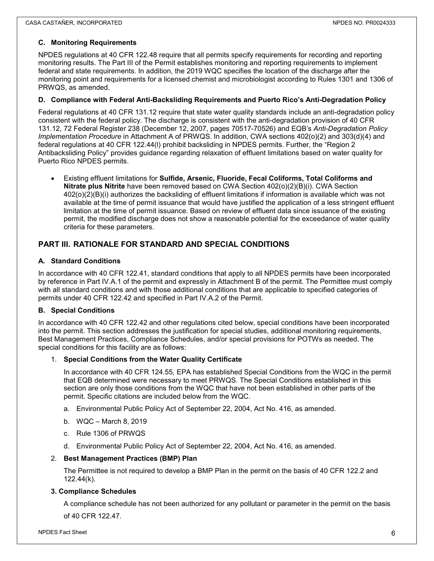### **C. Monitoring Requirements**

NPDES regulations at 40 CFR 122.48 require that all permits specify requirements for recording and reporting monitoring results. The Part III of the Permit establishes monitoring and reporting requirements to implement federal and state requirements. In addition, the 2019 WQC specifies the location of the discharge after the monitoring point and requirements for a licensed chemist and microbiologist according to Rules 1301 and 1306 of PRWQS, as amended.

### **D. Compliance with Federal Anti-Backsliding Requirements and Puerto Rico's Anti-Degradation Policy**

Federal regulations at 40 CFR 131.12 require that state water quality standards include an anti-degradation policy consistent with the federal policy. The discharge is consistent with the anti-degradation provision of 40 CFR 131.12, 72 Federal Register 238 (December 12, 2007, pages 70517-70526) and EQB's *Anti-Degradation Policy Implementation Procedure* in Attachment A of PRWQS. In addition, CWA sections 402(o)(2) and 303(d)(4) and federal regulations at 40 CFR 122.44(l) prohibit backsliding in NPDES permits. Further, the "Region 2 Antibacksliding Policy" provides guidance regarding relaxation of effluent limitations based on water quality for Puerto Rico NPDES permits.

• Existing effluent limitations for **Sulfide, Arsenic, Fluoride, Fecal Coliforms, Total Coliforms and Nitrate plus Nitrite** have been removed based on CWA Section 402(o)(2)(B)(i). CWA Section 402(o)(2)(B)(i) authorizes the backsliding of effluent limitations if information is available which was not available at the time of permit issuance that would have justified the application of a less stringent effluent limitation at the time of permit issuance. Based on review of effluent data since issuance of the existing permit, the modified discharge does not show a reasonable potential for the exceedance of water quality criteria for these parameters.

## **PART III. RATIONALE FOR STANDARD AND SPECIAL CONDITIONS**

### **A. Standard Conditions**

In accordance with 40 CFR 122.41, standard conditions that apply to all NPDES permits have been incorporated by reference in Part IV.A.1 of the permit and expressly in Attachment B of the permit. The Permittee must comply with all standard conditions and with those additional conditions that are applicable to specified categories of permits under 40 CFR 122.42 and specified in Part IV.A.2 of the Permit.

#### **B. Special Conditions**

In accordance with 40 CFR 122.42 and other regulations cited below, special conditions have been incorporated into the permit. This section addresses the justification for special studies, additional monitoring requirements, Best Management Practices, Compliance Schedules, and/or special provisions for POTWs as needed. The special conditions for this facility are as follows:

#### 1. **Special Conditions from the Water Quality Certificate**

In accordance with 40 CFR 124.55, EPA has established Special Conditions from the WQC in the permit that EQB determined were necessary to meet PRWQS. The Special Conditions established in this section are only those conditions from the WQC that have not been established in other parts of the permit. Specific citations are included below from the WQC.

- a. Environmental Public Policy Act of September 22, 2004, Act No. 416, as amended.
- b. WQC March 8, 2019
- c. Rule 1306 of PRWQS
- d. Environmental Public Policy Act of September 22, 2004, Act No. 416, as amended.

#### 2. **Best Management Practices (BMP) Plan**

The Permittee is not required to develop a BMP Plan in the permit on the basis of 40 CFR 122.2 and 122.44(k).

#### **3. Compliance Schedules**

A compliance schedule has not been authorized for any pollutant or parameter in the permit on the basis of 40 CFR 122.47.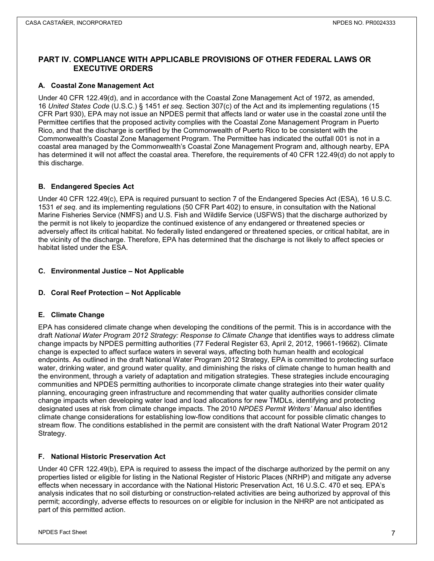## **PART IV. COMPLIANCE WITH APPLICABLE PROVISIONS OF OTHER FEDERAL LAWS OR EXECUTIVE ORDERS**

### **A. Coastal Zone Management Act**

Under 40 CFR 122.49(d), and in accordance with the Coastal Zone Management Act of 1972, as amended, 16 *United States Code* (U.S.C.) § 1451 *et seq*. Section 307(c) of the Act and its implementing regulations (15 CFR Part 930), EPA may not issue an NPDES permit that affects land or water use in the coastal zone until the Permittee certifies that the proposed activity complies with the Coastal Zone Management Program in Puerto Rico, and that the discharge is certified by the Commonwealth of Puerto Rico to be consistent with the Commonwealth's Coastal Zone Management Program. The Permittee has indicated the outfall 001 is not in a coastal area managed by the Commonwealth's Coastal Zone Management Program and, although nearby, EPA has determined it will not affect the coastal area. Therefore, the requirements of 40 CFR 122.49(d) do not apply to this discharge.

### **B. Endangered Species Act**

Under 40 CFR 122.49(c), EPA is required pursuant to section 7 of the Endangered Species Act (ESA), 16 U.S.C. 1531 *et seq*. and its implementing regulations (50 CFR Part 402) to ensure, in consultation with the National Marine Fisheries Service (NMFS) and U.S. Fish and Wildlife Service (USFWS) that the discharge authorized by the permit is not likely to jeopardize the continued existence of any endangered or threatened species or adversely affect its critical habitat. No federally listed endangered or threatened species, or critical habitat, are in the vicinity of the discharge. Therefore, EPA has determined that the discharge is not likely to affect species or habitat listed under the ESA.

### **C. Environmental Justice – Not Applicable**

### **D. Coral Reef Protection – Not Applicable**

### **E. Climate Change**

EPA has considered climate change when developing the conditions of the permit. This is in accordance with the draft *National Water Program 2012 Strategy: Response to Climate Change* that identifies ways to address climate change impacts by NPDES permitting authorities (77 Federal Register 63, April 2, 2012, 19661-19662). Climate change is expected to affect surface waters in several ways, affecting both human health and ecological endpoints. As outlined in the draft National Water Program 2012 Strategy, EPA is committed to protecting surface water, drinking water, and ground water quality, and diminishing the risks of climate change to human health and the environment, through a variety of adaptation and mitigation strategies. These strategies include encouraging communities and NPDES permitting authorities to incorporate climate change strategies into their water quality planning, encouraging green infrastructure and recommending that water quality authorities consider climate change impacts when developing water load and load allocations for new TMDLs, identifying and protecting designated uses at risk from climate change impacts. The 2010 *NPDES Permit Writers' Manual* also identifies climate change considerations for establishing low-flow conditions that account for possible climatic changes to stream flow. The conditions established in the permit are consistent with the draft National Water Program 2012 Strategy.

### **F. National Historic Preservation Act**

Under 40 CFR 122.49(b), EPA is required to assess the impact of the discharge authorized by the permit on any properties listed or eligible for listing in the National Register of Historic Places (NRHP) and mitigate any adverse effects when necessary in accordance with the National Historic Preservation Act, 16 U.S.C. 470 et seq. EPA's analysis indicates that no soil disturbing or construction-related activities are being authorized by approval of this permit; accordingly, adverse effects to resources on or eligible for inclusion in the NHRP are not anticipated as part of this permitted action.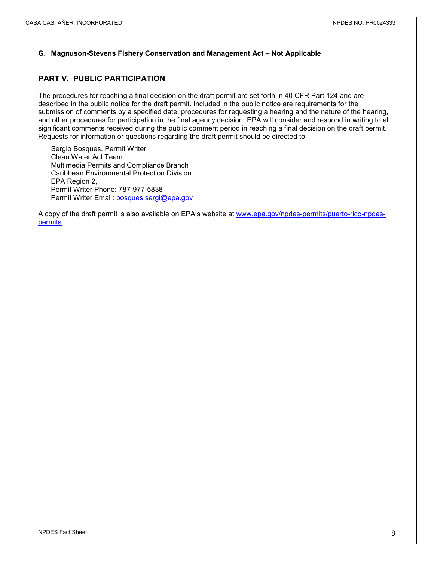### **G. Magnuson-Stevens Fishery Conservation and Management Act – Not Applicable**

## **PART V. PUBLIC PARTICIPATION**

The procedures for reaching a final decision on the draft permit are set forth in 40 CFR Part 124 and are described in the public notice for the draft permit. Included in the public notice are requirements for the submission of comments by a specified date, procedures for requesting a hearing and the nature of the hearing, and other procedures for participation in the final agency decision. EPA will consider and respond in writing to all significant comments received during the public comment period in reaching a final decision on the draft permit. Requests for information or questions regarding the draft permit should be directed to:

Sergio Bosques, Permit Writer Clean Water Act Team Multimedia Permits and Compliance Branch Caribbean Environmental Protection Division EPA Region 2, Permit Writer Phone: 787-977-5838 Permit Writer Email**:** [bosques.sergi@epa.gov](mailto:bosques.sergi@epa.gov)

A copy of the draft permit is also available on EPA's website at [www.epa.gov/npdes-permits/puerto-rico-npdes](http://www.epa.gov/npdes-permits/puerto-rico-npdes-permits)[permits.](http://www.epa.gov/npdes-permits/puerto-rico-npdes-permits)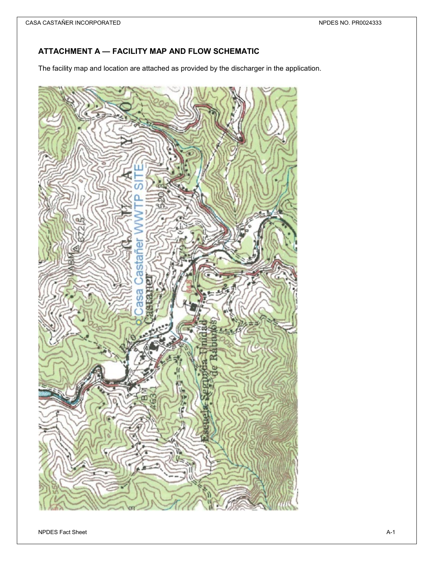## **ATTACHMENT A — FACILITY MAP AND FLOW SCHEMATIC**

The facility map and location are attached as provided by the discharger in the application.